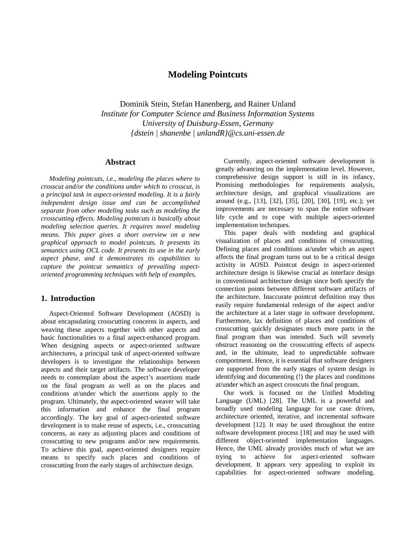# **Modeling Pointcuts**

Dominik Stein, Stefan Hanenberg, and Rainer Unland *Institute for Computer Science and Business Information Systems University of Duisburg-Essen, Germany {dstein | shanenbe | unlandR}@cs.uni-essen.de*

### **Abstract**

*Modeling pointcuts, i.e., modeling the places where to crosscut and/or the conditions under which to crosscut, is a principal task in aspect-oriented modeling. It is a fairly independent design issue and can be accomplished separate from other modeling tasks such as modeling the crosscutting effects. Modeling pointcuts is basically about modeling selection queries. It requires novel modeling means. This paper gives a short overview on a new graphical approach to model pointcuts. It presents its semantics using OCL code. It presents its use in the early aspect phase, and it demonstrates its capabilities to capture the pointcut semantics of prevailing aspectoriented programming techniques with help of examples.*

### **1. Introduction**

Aspect-Oriented Software Development (AOSD) is about encapsulating crosscutting concerns in aspects, and weaving these aspects together with other aspects and basic functionalities to a final aspect-enhanced program. When designing aspects or aspect-oriented software architectures, a principal task of aspect-oriented software developers is to investigate the relationships between aspects and their target artifacts. The software developer needs to contemplate about the aspect's assertions made on the final program as well as on the places and conditions at/under which the assertions apply to the program. Ultimately, the aspect-oriented weaver will take this information and enhance the final program accordingly. The key goal of aspect-oriented software development is to make reuse of aspects, i.e., crosscutting concerns, as easy as adjusting places and conditions of crosscutting to new programs and/or new requirements. To achieve this goal, aspect-oriented designers require means to specify such places and conditions of crosscutting from the early stages of architecture design.

Currently, aspect-oriented software development is greatly advancing on the implementation level. However, comprehensive design support is still in its infancy. Promising methodologies for requirements analysis, architecture design, and graphical visualizations are around (e.g., [13], [32], [35], [20], [30], [19], etc.); yet improvements are necessary to span the entire software life cycle and to cope with multiple aspect-oriented implementation techniques.

This paper deals with modeling and graphical visualization of places and conditions of crosscutting. Defining places and conditions at/under which an aspect affects the final program turns out to be a critical design activity in AOSD. Pointcut design in aspect-oriented architecture design is likewise crucial as interface design in conventional architecture design since both specify the connection points between different software artifacts of the architecture. Inaccurate pointcut definition may thus easily require fundamental redesign of the aspect and/or the architecture at a later stage in software development. Furthermore, lax definition of places and conditions of crosscutting quickly designates much more parts in the final program than was intended. Such will severely obstruct reasoning on the crosscutting effects of aspects and, in the ultimate, lead to unpredictable software comportment. Hence, it is essential that software designers are supported from the early stages of system design in identifying and documenting (!) the places and conditions at/under which an aspect crosscuts the final program.

Our work is focused on the Unified Modeling Language (UML) [28]. The UML is a powerful and broadly used modeling language for use case driven, architecture oriented, iterative, and incremental software development [12]. It may be used throughout the entire software development process [18] and may be used with different object-oriented implementation languages. Hence, the UML already provides much of what we are trying to achieve for aspect-oriented software development. It appears very appealing to exploit its capabilities for aspect-oriented software modeling.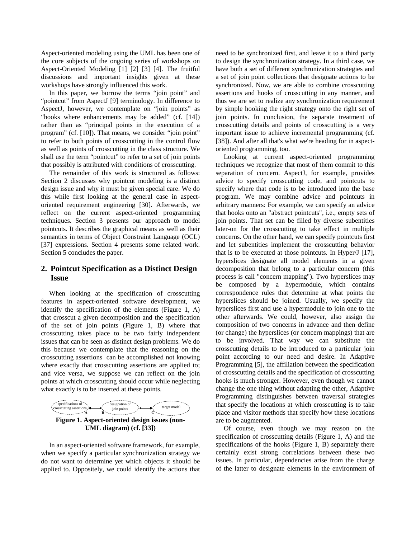Aspect-oriented modeling using the UML has been one of the core subjects of the ongoing series of workshops on Aspect-Oriented Modeling [1] [2] [3] [4]. The fruitful discussions and important insights given at these workshops have strongly influenced this work.

In this paper, we borrow the terms "join point" and "pointcut" from AspectJ [9] terminology. In difference to AspectJ, however, we contemplate on "join points" as "hooks where enhancements may be added" (cf. [14]) rather than as "principal points in the execution of a program" (cf. [10]). That means, we consider "join point" to refer to both points of crosscutting in the control flow as well as points of crosscutting in the class structure. We shall use the term "pointcut" to refer to a set of join points that possibly is attributed with conditions of crosscutting.

The remainder of this work is structured as follows: Section 2 discusses why pointcut modeling is a distinct design issue and why it must be given special care. We do this while first looking at the general case in aspectoriented requirement engineering [30]. Afterwards, we reflect on the current aspect-oriented programming techniques. Section 3 presents our approach to model pointcuts. It describes the graphical means as well as their semantics in terms of Object Constraint Language (OCL) [37] expressions. Section 4 presents some related work. Section 5 concludes the paper.

## **2. Pointcut Specification as a Distinct Design Issue**

When looking at the specification of crosscutting features in aspect-oriented software development, we identify the specification of the elements (Figure 1, A) that crosscut a given decomposition and the specification of the set of join points (Figure 1, B) where that crosscutting takes place to be two fairly independent issues that can be seen as distinct design problems. We do this because we contemplate that the reasoning on the crosscutting assertions can be accomplished not knowing where exactly that crosscutting assertions are applied to; and vice versa, we suppose we can reflect on the join points at which crosscutting should occur while neglecting what exactly is to be inserted at these points.



In an aspect-oriented software framework, for example, when we specify a particular synchronization strategy we do not want to determine yet which objects it should be applied to. Oppositely, we could identify the actions that

need to be synchronized first, and leave it to a third party to design the synchronization strategy. In a third case, we have both a set of different synchronization strategies and a set of join point collections that designate actions to be synchronized. Now, we are able to combine crosscutting assertions and hooks of crosscutting in any manner, and thus we are set to realize any synchronization requirement by simple hooking the right strategy onto the right set of join points. In conclusion, the separate treatment of crosscutting details and points of crosscutting is a very important issue to achieve incremental programming (cf. [38]). And after all that's what we're heading for in aspectoriented programming, too.

Looking at current aspect-oriented programming techniques we recognize that most of them commit to this separation of concern. AspectJ, for example, provides advice to specify crosscutting code, and pointcuts to specify where that code is to be introduced into the base program. We may combine advice and pointcuts in arbitrary manners: For example, we can specify an advice that hooks onto an "abstract pointcuts", i.e., empty sets of join points. That set can be filled by diverse subentities later-on for the crosscutting to take effect in multiple concerns. On the other hand, we can specify pointcuts first and let subentities implement the crosscutting behavior that is to be executed at those pointcuts. In Hyper/J [17], hyperslices designate all model elements in a given decomposition that belong to a particular concern (this process is call "concern mapping"). Two hyperslices may be composed by a hypermodule, which contains correspondence rules that determine at what points the hyperslices should be joined. Usually, we specify the hyperslices first and use a hypermodule to join one to the other afterwards. We could, however, also assign the composition of two concerns in advance and then define (or change) the hyperslices (or concern mappings) that are to be involved. That way we can substitute the crosscutting details to be introduced to a particular join point according to our need and desire. In Adaptive Programming [5], the affiliation between the specification of crosscutting details and the specification of crosscutting hooks is much stronger. However, even though we cannot change the one thing without adapting the other, Adaptive Programming distinguishes between traversal strategies that specify the locations at which crosscutting is to take place and visitor methods that specify how these locations are to be augmented.

Of course, even though we may reason on the specification of crosscutting details (Figure 1, A) and the specifications of the hooks (Figure 1, B) separately there certainly exist strong correlations between these two issues. In particular, dependencies arise from the charge of the latter to designate elements in the environment of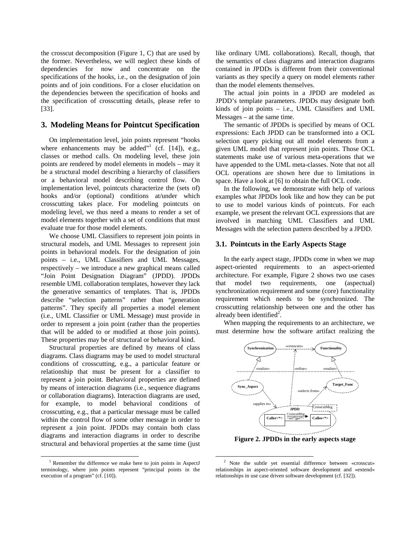the crosscut decomposition (Figure 1, C) that are used by the former. Nevertheless, we will neglect these kinds of dependencies for now and concentrate on the specifications of the hooks, i.e., on the designation of join points and of join conditions. For a closer elucidation on the dependencies between the specification of hooks and the specification of crosscutting details, please refer to [33].

### **3. Modeling Means for Pointcut Specification**

On implementation level, join points represent "hooks where enhancements may be added" $^1$  (cf. [14]), e.g., classes or method calls. On modeling level, these join points are rendered by model elements in models – may it be a structural model describing a hierarchy of classifiers or a behavioral model describing control flow. On implementation level, pointcuts characterize the (sets of) hooks and/or (optional) conditions at/under which crosscutting takes place. For modeling pointcuts on modeling level, we thus need a means to render a set of model elements together with a set of conditions that must evaluate true for those model elements.

We choose UML Classifiers to represent join points in structural models, and UML Messages to represent join points in behavioral models. For the designation of join points – i.e., UML Classifiers and UML Messages, respectively – we introduce a new graphical means called "Join Point Designation Diagram" (JPDD). JPDDs resemble UML collaboration templates, however they lack the generative semantics of templates. That is, JPDDs describe "selection patterns" rather than "generation patterns". They specify all properties a model element (i.e., UML Classifier or UML Message) must provide in order to represent a join point (rather than the properties that will be added to or modified at those join points). These properties may be of structural or behavioral kind.

Structural properties are defined by means of class diagrams. Class diagrams may be used to model structural conditions of crosscutting, e.g., a particular feature or relationship that must be present for a classifier to represent a join point. Behavioral properties are defined by means of interaction diagrams (i.e., sequence diagrams or collaboration diagrams). Interaction diagrams are used, for example, to model behavioral conditions of crosscutting, e.g., that a particular message must be called within the control flow of some other message in order to represent a join point. JPDDs may contain both class diagrams and interaction diagrams in order to describe structural and behavioral properties at the same time (just

-

like ordinary UML collaborations). Recall, though, that the semantics of class diagrams and interaction diagrams contained in JPDDs is different from their conventional variants as they specify a query on model elements rather than the model elements themselves.

The actual join points in a JPDD are modeled as JPDD's template parameters. JPDDs may designate both kinds of join points – i.e., UML Classifiers and UML Messages – at the same time.

The semantic of JPDDs is specified by means of OCL expressions: Each JPDD can be transformed into a OCL selection query picking out all model elements from a given UML model that represent join points. Those OCL statements make use of various meta-operations that we have appended to the UML meta-classes. Note that not all OCL operations are shown here due to limitations in space. Have a look at [6] to obtain the full OCL code.

In the following, we demonstrate with help of various examples what JPDDs look like and how they can be put to use to model various kinds of pointcuts. For each example, we present the relevant OCL expressions that are involved in matching UML Classifiers and UML Messages with the selection pattern described by a JPDD.

#### **3.1. Pointcuts in the Early Aspects Stage**

In the early aspect stage, JPDDs come in when we map aspect-oriented requirements to an aspect-oriented architecture. For example, Figure 2 shows two use cases that model two requirements, one (aspectual) synchronization requirement and some (core) functionality requirement which needs to be synchronized. The crosscutting relationship between one and the other has already been identified<sup>2</sup>.

When mapping the requirements to an architecture, we must determine how the software artifact realizing the



**Figure 2. JPDDs in the early aspects stage**

-

<sup>&</sup>lt;sup>1</sup> Remember the difference we make here to join points in AspectJ terminology, where join points represent "principal points in the execution of a program" (cf. [10]).

<sup>&</sup>lt;sup>2</sup> Note the subtle yet essential difference between «crosscut» relationships in aspect-oriented software development and «extend» relationships in use case driven software development (cf. [32]).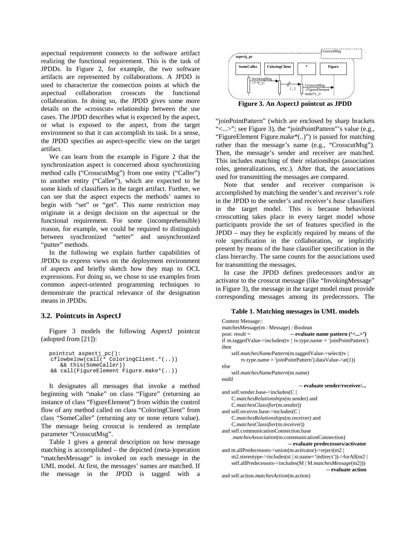aspectual requirement connects to the software artifact realizing the functional requirement. This is the task of JPDDs. In Figure 2, for example, the two software artifacts are represented by collaborations. A JPDD is used to characterize the connection points at which the aspectual collaboration crosscuts the functional collaboration. In doing so, the JPDD gives some more details on the «crosscut» relationship between the use cases. The JPDD describes what is expected by the aspect, or what is exposed to the aspect, from the target environment so that it can accomplish its task. In a sense, the JPDD specifies an aspect-specific view on the target artifact.

We can learn from the example in Figure 2 that the synchronization aspect is concerned about synchronizing method calls ("CrosscutMsg") from one entity ("Caller") to another entity ("Callee"), which are expected to be some kinds of classifiers in the target artifact. Further, we can see that the aspect expects the methods' names to begin with "set" or "get". This name restriction may originate in a design decision on the aspectual or the functional requirement. For some (incomprehensible) reason, for example, we could be required to distinguish between synchronized "setter" and unsynchronized "putter" methods.

In the following we explain further capabilities of JPDDs to express views on the deployment environment of aspects and briefly sketch how they map to OCL expressions. For doing so, we chose to use examples from common aspect-oriented programming techniques to demonstrate the practical relevance of the designation means in JPDDs.

#### **3.2. Pointcuts in AspectJ**

Figure 3 models the following AspectJ pointcut (adopted from [21]):

```
pointcut aspectj_pc():
cflowbelow(call(* ColoringClient.*(..))
   && this(SomeCaller))
&& call(FigureElement Figure.make*(..))
```
It designates all messages that invoke a method beginning with "make" on class "Figure" (returning an instance of class "FigureElement") from within the control flow of any method called on class "ColoringClient" from class "SomeCaller" (returning any or none return value). The message being crosscut is rendered as template parameter "CrosscutMsg".

Table 1 gives a general description on how message matching is accomplished – the depicted (meta-)operation "matchesMessage" is invoked on each message in the UML model. At first, the messages' names are matched. If the message in the JPDD is tagged with a



**Figure 3. An AspectJ pointcut as JPDD**

"joinPointPattern" (which are enclosed by sharp brackets "<...>"; see Figure 3), the "joinPointPattern"'s value (e.g., "FigureElement Figure.make\*(..)") is passed for matching rather than the message's name (e.g., "CrosscutMsg"). Then, the message's sender and receiver are matched. This includes matching of their relationships (association roles, generalizations, etc.). After that, the associations used for transmitting the messages are compared.

Note that sender and receiver comparison is accomplished by matching the sender's and receiver's *role* in the JPDD to the sender's and receiver's *base* classifiers in the target model. This is because behavioral crosscutting takes place in every target model whose participants provide the set of features specified in the JPDD – may they be explicitly required by means of the role specification in the collaboration, or implicitly present by means of the base classifier specification in the class hierarchy. The same counts for the associations used for transmitting the messages.

In case the JPDD defines predecessors and/or an activator to the crosscut message (like "InvokingMessage" in Figure 3), the message in the target model must provide corresponding messages among its predecessors. The

#### **Table 1. Matching messages in UML models**

```
Context Message::
matchesMessage(m : Message) : Boolean<br>post: result = cyaluate
                              -- evaluate name pattern ('<...>')
if m.taggedValue->includes(tv | tv.type.name = 'joinPointPattern')
then
    self.matchesNamePattern(m.taggedValue->select(tv |
        tv.type.name = 'joinPointPattern').dataValue->at(1))
else
    self.matchesNamePattern(m.name)
endif
                                   -- evaluate sender/receiver/...
and self.sender.base->includes(C |
    C.matchesRelationships(m.sender) and
    C.matchesClassifier(m.sender))
and self.receiver.base->includes(C |
    C.matchesRelationships(m.receiver) and
    C.matchesClassifier(m.receiver))
and self.communicationConnection.base
    .matchesAssociation(m.communicationConnection)
                             -- evaluate predecessors/activator
and m.allPredecessors->union(m.activator)->reject(m2 |
    m2.stereotype->includes(st | st.name='indirect'))->forAll(m2 |
    self.allPredecessors->includes(M | M.matchesMessage(m2)))
                                               -- evaluate action
and self.action.matchesAction(m.action)
```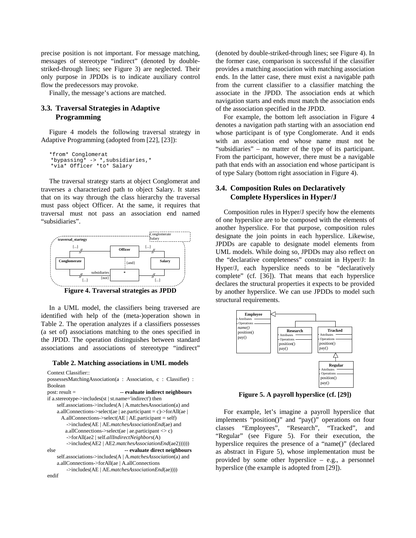precise position is not important. For message matching, messages of stereotype "indirect" (denoted by doublestriked-through lines; see Figure 3) are neglected. Their only purpose in JPDDs is to indicate auxiliary control flow the predecessors may provoke.

Finally, the message's actions are matched.

## **3.3. Traversal Strategies in Adaptive Programming**

Figure 4 models the following traversal strategy in Adaptive Programming (adopted from [22], [23]):

```
*from* Conglomerat
*bypassing* -> *,subsidiaries,*
*via* Officer *to* Salary
```
The traversal strategy starts at object Conglomerat and traverses a characterized path to object Salary. It states that on its way through the class hierarchy the traversal must pass object Officer. At the same, it requires that traversal must not pass an association end named "subsidiaries".



**Figure 4. Traversal strategies as JPDD**

In a UML model, the classifiers being traversed are identified with help of the (meta-)operation shown in Table 2. The operation analyzes if a classifiers possesses (a set of) associations matching to the ones specified in the JPDD. The operation distinguishes between standard associations and associations of stereotype "indirect"

**Table 2. Matching associations in UML models**

```
Context Classifier::
possessesMatchingAssociation(a : Association, c : Classifier) :
Boolean
post: result = -- evaluate indirect neighbours
if a.stereotype->includes(st | st.name='indirect') then
    self.associations->includes(A | A.matchesAssociation(a) and
    a.allConnections->select(ae | ae.participant = c)->forAll(ae |
       A.allConnections->select(AE | AE.participant = self)
        ->includes(AE | AE.matchesAssociationEnd(ae) and
       a.allConnections->select(ae | ae.participant \langle \rangle c)
        ->forAll(ae2 | self.allIndirectNeighbors(A)
        ->includes(AE2 | AE2.matchesAssociationEnd(ae2))))))
else -- evaluate direct neighbours
    self.associations->includes(A | A.matchesAssociation(a) and
    a.allConnections->forAll(ae | A.allConnections
        ->includes(AE | AE.matchesAssociationEnd(ae))))
endif
```
(denoted by double-striked-through lines; see Figure 4). In the former case, comparison is successful if the classifier provides a matching association with matching association ends. In the latter case, there must exist a navigable path from the current classifier to a classifier matching the associate in the JPDD. The association ends at which navigation starts and ends must match the association ends of the association specified in the JPDD.

For example, the bottom left association in Figure 4 denotes a navigation path starting with an association end whose participant is of type Conglomerate. And it ends with an association end whose name must not be "subsidiaries" – no matter of the type of its participant. From the participant, however, there must be a navigable path that ends with an association end whose participant is of type Salary (bottom right association in Figure 4).

### **3.4. Composition Rules on Declaratively Complete Hyperslices in Hyper/J**

Composition rules in Hyper/J specify how the elements of one hyperslice are to be composed with the elements of another hyperslice. For that purpose, composition rules designate the join points in each hyperslice. Likewise, JPDDs are capable to designate model elements from UML models. While doing so, JPDDs may also reflect on the "declarative completeness" constraint in Hyper/J: In Hyper/J, each hyperslice needs to be "declaratively complete" (cf. [36]). That means that each hyperslice declares the structural properties it expects to be provided by another hyperslice. We can use JPDDs to model such structural requirements.



**Figure 5. A payroll hyperslice (cf. [29])**

For example, let's imagine a payroll hyperslice that implements "position()" and "pay()" operations on four classes "Employees", "Research", "Tracked", and "Regular" (see Figure 5). For their execution, the hyperslice requires the presence of a "name()" (declared as abstract in Figure 5), whose implementation must be provided by some other hyperslice – e.g., a personnel hyperslice (the example is adopted from [29]).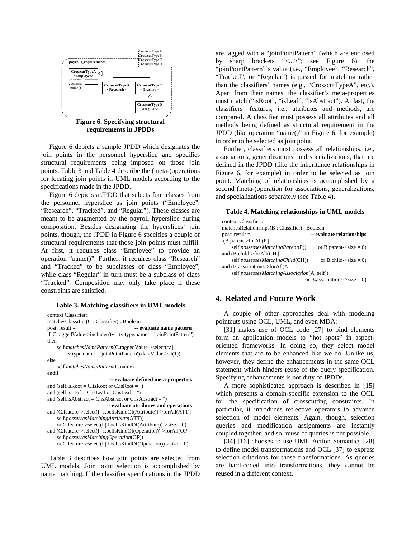

**requirements in JPDDs**

Figure 6 depicts a sample JPDD which designates the join points in the personnel hyperslice and specifies structural requirements being imposed on those join points. Table 3 and Table 4 describe the (meta-)operations for locating join points in UML models according to the specifications made in the JPDD.

Figure 6 depicts a JPDD that selects four classes from the personnel hyperslice as join points ("Employee", "Research", "Tracked", and "Regular"). These classes are meant to be augmented by the payroll hyperslice during composition. Besides designating the hyperslices' join points, though, the JPDD in Figure 6 specifies a couple of structural requirements that those join points must fulfill. At first, it requires class "Employee" to provide an operation "name()". Further, it requires class "Research" and "Tracked" to be subclasses of class "Employee", while class "Regular" in turn must be a subclass of class "Tracked". Composition may only take place if these constraints are satisfied.

#### **Table 3. Matching classifiers in UML models**

```
context Classifier::
matchesClassifier(C : Classifier) : Boolean
post: result = -- evaluate name pattern
if C.taggedValue->includes(tv | tv.type.name = 'joinPointPattern')
then
    self.matchesNamePattern(C.taggedValue->select(tv |
        tv.type.name = 'joinPointPattern').dataValue->at(1))
else
    self.matchesNamePattern(C.name)
endif
                           -- evaluate defined meta-properties
and (self.isRoot = C.isRoot or C.isRoot =")
and (self.isLeaf = C.isLeaf or C.isLeaf = '')
and (self.isAbstract = C.isAbstract or C.isAbstract = '')
                          -- evaluate attributes and operations
and (C.feature->select(f | f.oclIsKindOf(Attribute))->forAll(ATT |
    self.possessesMatchingAttribute(ATT))
    or C.feature->select(f | f.oclIsKindOf(Attribute))->size = 0)
and (C.feature->select(f | f.oclIsKindOf(Operation))->forAll(OP |
    self.possessesMatchingOperation(OP))
    or C.feature->select(f | f.oclIsKindOf(Operation))->size = 0)
```
Table 3 describes how join points are selected from UML models. Join point selection is accomplished by name matching. If the classifier specifications in the JPDD

are tagged with a "joinPointPattern" (which are enclosed by sharp brackets "<...>"; see Figure 6), the "joinPointPattern"'s value (i.e., "Employee", "Research", "Tracked", or "Regular") is passed for matching rather than the classifiers' names (e.g., "CrosscutTypeA", etc.). Apart from their names, the classifier's meta-properties must match ("isRoot", "isLeaf", "isAbstract"). At last, the classifiers' features, i.e., attributes and methods, are compared. A classifier must possess all attributes and all methods being defined as structural requirement in the JPDD (like operation "name()" in Figure 6, for example) in order to be selected as join point.

Further, classifiers must possess all relationships, i.e., associations, generalizations, and specializations, that are defined in the JPDD (like the inheritance relationships in Figure 6, for example) in order to be selected as join point. Matching of relationships is accomplished by a second (meta-)operation for associations, generalizations, and specializations separately (see Table 4).

#### **Table 4. Matching relationships in UML models**

| context Classifier::                         |                             |
|----------------------------------------------|-----------------------------|
| matchesRelationships(B: Classifier): Boolean |                             |
| $post: result =$                             | -- evaluate relationships   |
| (B.parent > for All(P))                      |                             |
| self.possessesMatchingParent(P))             | or B.parent- $>size = 0$ )  |
| and (B.child->forAll(CH                      |                             |
| self.possessesMatchingChild(CH))             | or B.child- $\ge$ size = 0) |
| and (B.associations->forAll(A)               |                             |
| self.possessesMatchingAssociation(A, self))  |                             |
| or B.associations- $>size = 0$ )             |                             |

### **4. Related and Future Work**

A couple of other approaches deal with modeling pointcuts using OCL, UML, and even MDA:

[31] makes use of OCL code [27] to bind elements form an application models to "hot spots" in aspectoriented frameworks. In doing so, they select model elements that are to be enhanced like we do. Unlike us, however, they define the enhancements in the same OCL statement which hinders reuse of the query specification. Specifying enhancements is not duty of JPDDs.

A more sophisticated approach is described in [15] which presents a domain-specific extension to the OCL for the specification of crosscutting constraints. In particular, it introduces reflective operators to advance selection of model elements. Again, though, selection queries and modification assignments are instantly coupled together, and so, reuse of queries is not possible.

[34] [16] chooses to use UML Action Semantics [28] to define model transformations and OCL [37] to express selection criterions for those transformations. As queries are hard-coded into transformations, they cannot be reused in a different context.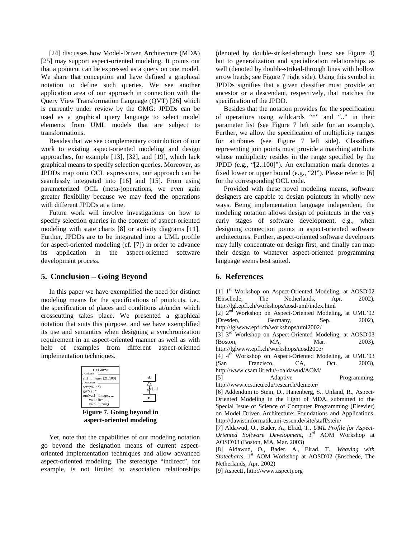[24] discusses how Model-Driven Architecture (MDA) [25] may support aspect-oriented modeling. It points out that a pointcut can be expressed as a query on one model. We share that conception and have defined a graphical notation to define such queries. We see another application area of our approach in connection with the Query View Transformation Language (QVT) [26] which is currently under review by the OMG: JPDDs can be used as a graphical query language to select model elements from UML models that are subject to transformations.

Besides that we see complementary contribution of our work to existing aspect-oriented modeling and design approaches, for example [13], [32], and [19], which lack graphical means to specify selection queries. Moreover, as JPDDs map onto OCL expressions, our approach can be seamlessly integrated into [16] and [15]. From using parameterized OCL (meta-)operations, we even gain greater flexibility because we may feed the operations with different JPDDs at a time.

Future work will involve investigations on how to specify selection queries in the context of aspect-oriented modeling with state charts [8] or activity diagrams [11]. Further, JPDDs are to be integrated into a UML profile for aspect-oriented modeling (cf. [7]) in order to advance its application in the aspect-oriented software development process.

## **5. Conclusion – Going Beyond**

In this paper we have exemplified the need for distinct modeling means for the specifications of pointcuts, i.e., the specification of places and conditions at/under which crosscutting takes place. We presented a graphical notation that suits this purpose, and we have exemplified its use and semantics when designing a synchronization requirement in an aspect-oriented manner as well as with help of examples from different aspect-oriented implementation techniques.



**aspect-oriented modeling**

Yet, note that the capabilities of our modeling notation go beyond the designation means of current aspectoriented implementation techniques and allow advanced aspect-oriented modeling. The stereotype "indirect", for example, is not limited to association relationships

(denoted by double-striked-through lines; see Figure 4) but to generalization and specialization relationships as well (denoted by double-striked-through lines with hollow arrow heads; see Figure 7 right side). Using this symbol in JPDDs signifies that a given classifier must provide an ancestor or a descendant, respectively, that matches the specification of the JPDD.

Besides that the notation provides for the specification of operations using wildcards "\*" and ".." in their parameter list (see Figure 7 left side for an example). Further, we allow the specification of multiplicity ranges for attributes (see Figure 7 left side). Classifiers representing join points must provide a matching attribute whose multiplicity resides in the range specified by the JPDD (e.g., "[2..100]"). An exclamation mark denotes a fixed lower or upper bound (e.g., "2!"). Please refer to [6] for the corresponding OCL code.

Provided with these novel modeling means, software designers are capable to design pointcuts in wholly new ways. Being implementation language independent, the modeling notation allows design of pointcuts in the very early stages of software development, e.g., when designing connection points in aspect-oriented software architectures. Further, aspect-oriented software developers may fully concentrate on design first, and finally can map their design to whatever aspect-oriented programming language seems best suited.

## **6. References**

[1] 1<sup>st</sup> Workshop on Aspect-Oriented Modeling, at AOSD'02 (Enschede, The Netherlands, Apr. 2002), http://lgl.epfl.ch/workshops/aosd-uml/index.html [2] 2nd Workshop on Aspect-Oriented Modeling, at UML'02 (Dresden, Germany, Sep. 2002), http://lglwww.epfl.ch/workshops/uml2002/ [3] 3<sup>rd</sup> Workshop on Aspect-Oriented Modeling, at AOSD'03 (Boston, MA, Mar. 2003), http://lglwww.epfl.ch/workshops/aosd2003/ [4] 4<sup>th</sup> Workshop on Aspect-Oriented Modeling, at UML'03 (San Francisco, CA, Oct. 2003), http://www.csam.iit.edu/~oaldawud/AOM/ [5] Adaptive Programming, http://www.ccs.neu.edu/research/demeter/ [6] Addendum to Stein, D., Hanenberg, S., Unland, R., Aspect-Oriented Modeling in the Light of MDA, submitted to the

Special Issue of Science of Computer Programming (Elsevier) on Model Driven Architecture: Foundations and Applications, http://dawis.informatik.uni-essen.de/site/staff/stein/

[7] Aldawud, O., Bader, A., Elrad, T., *UML Profile for Aspect-Oriented Software Development*, 3rd AOM Workshop at AOSD'03 (Boston, MA, Mar. 2003)

[8] Aldawud, O., Bader, A., Elrad, T., *Weaving with* Statecharts, 1<sup>st</sup> AOM Workshop at AOSD'02 (Enschede, The Netherlands, Apr. 2002)

[9] AspectJ, http://www.aspectj.org